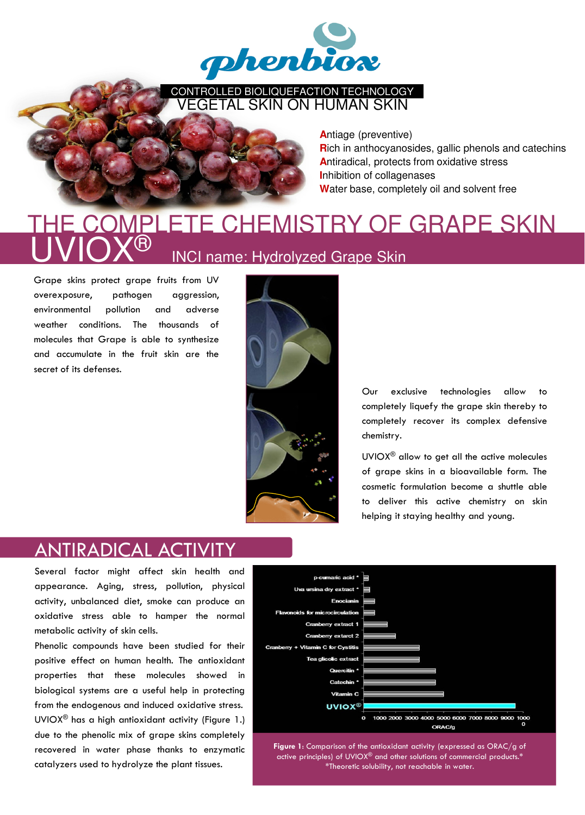

CONTROLLED BIOLIQUEFACTION TECHNOLOGY VEGETAL SKIN ON HUMAN SKIN



**A**ntiage (preventive) **R**ich in anthocyanosides, gallic phenols and catechins **A**ntiradical, protects from oxidative stress **I**nhibition of collagenases **W**ater base, completely oil and solvent free

## **INCI name: Hydrolyzed Grape Skin** COMPLETE CHEMISTRY OF GRAPE SKIN

Grape skins protect grape fruits from UV overexposure, pathogen aggression, environmental pollution and adverse weather conditions. The thousands of molecules that Grape is able to synthesize and accumulate in the fruit skin are the secret of its defenses.



Our exclusive technologies allow to completely liquefy the grape skin thereby to completely recover its complex defensive chemistry.

UVIOX® allow to get all the active molecules of grape skins in a bioavailable form. The cosmetic formulation become a shuttle able to deliver this active chemistry on skin helping it staying healthy and young.

## ANTIRADICAL ACTIVITY

Several factor might affect skin health and appearance. Aging, stress, pollution, physical activity, unbalanced diet, smoke can produce an oxidative stress able to hamper the normal metabolic activity of skin cells.

Phenolic compounds have been studied for their positive effect on human health. The antioxidant properties that these molecules showed in biological systems are a useful help in protecting from the endogenous and induced oxidative stress. UVIOX® has a high antioxidant activity (Figure 1.) due to the phenolic mix of grape skins completely recovered in water phase thanks to enzymatic catalyzers used to hydrolyze the plant tissues.



Figure 1: Comparison of the antioxidant activity (expressed as ORAC/g of active principles) of UVIOX® and other solutions of commercial products.\* \*Theoretic solubility, not reachable in water.